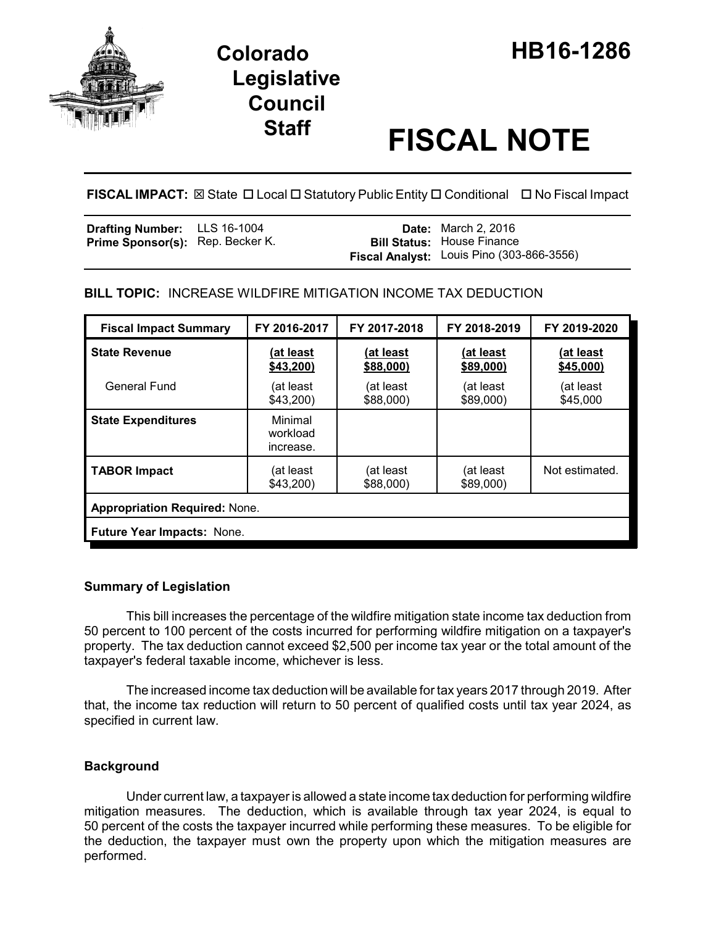

# **Legislative Council**

# **Staff FISCAL NOTE**

**FISCAL IMPACT:** ⊠ State □ Local □ Statutory Public Entity □ Conditional □ No Fiscal Impact

| <b>Drafting Number:</b> LLS 16-1004     |  | <b>Date:</b> March 2, 2016                |
|-----------------------------------------|--|-------------------------------------------|
| <b>Prime Sponsor(s):</b> Rep. Becker K. |  | <b>Bill Status: House Finance</b>         |
|                                         |  | Fiscal Analyst: Louis Pino (303-866-3556) |

**BILL TOPIC:** INCREASE WILDFIRE MITIGATION INCOME TAX DEDUCTION

| <b>Fiscal Impact Summary</b>         | FY 2016-2017                     | FY 2017-2018           | FY 2018-2019           | FY 2019-2020           |  |  |
|--------------------------------------|----------------------------------|------------------------|------------------------|------------------------|--|--|
| <b>State Revenue</b>                 | (at least<br>\$43,200            | (at least<br>\$88,000) | (at least<br>\$89,000) | (at least<br>\$45,000) |  |  |
| <b>General Fund</b>                  | (at least<br>\$43,200            | (at least<br>\$88,000) | (at least<br>\$89,000) | (at least<br>\$45,000  |  |  |
| <b>State Expenditures</b>            | Minimal<br>workload<br>increase. |                        |                        |                        |  |  |
| <b>TABOR Impact</b>                  | (at least<br>\$43,200            | (at least<br>\$88,000) | (at least<br>\$89,000) | Not estimated.         |  |  |
| <b>Appropriation Required: None.</b> |                                  |                        |                        |                        |  |  |
| <b>Future Year Impacts: None.</b>    |                                  |                        |                        |                        |  |  |

## **Summary of Legislation**

This bill increases the percentage of the wildfire mitigation state income tax deduction from 50 percent to 100 percent of the costs incurred for performing wildfire mitigation on a taxpayer's property. The tax deduction cannot exceed \$2,500 per income tax year or the total amount of the taxpayer's federal taxable income, whichever is less.

The increased income tax deduction will be available for tax years 2017 through 2019. After that, the income tax reduction will return to 50 percent of qualified costs until tax year 2024, as specified in current law.

## **Background**

Under current law, a taxpayer is allowed a state income tax deduction for performing wildfire mitigation measures. The deduction, which is available through tax year 2024, is equal to 50 percent of the costs the taxpayer incurred while performing these measures. To be eligible for the deduction, the taxpayer must own the property upon which the mitigation measures are performed.